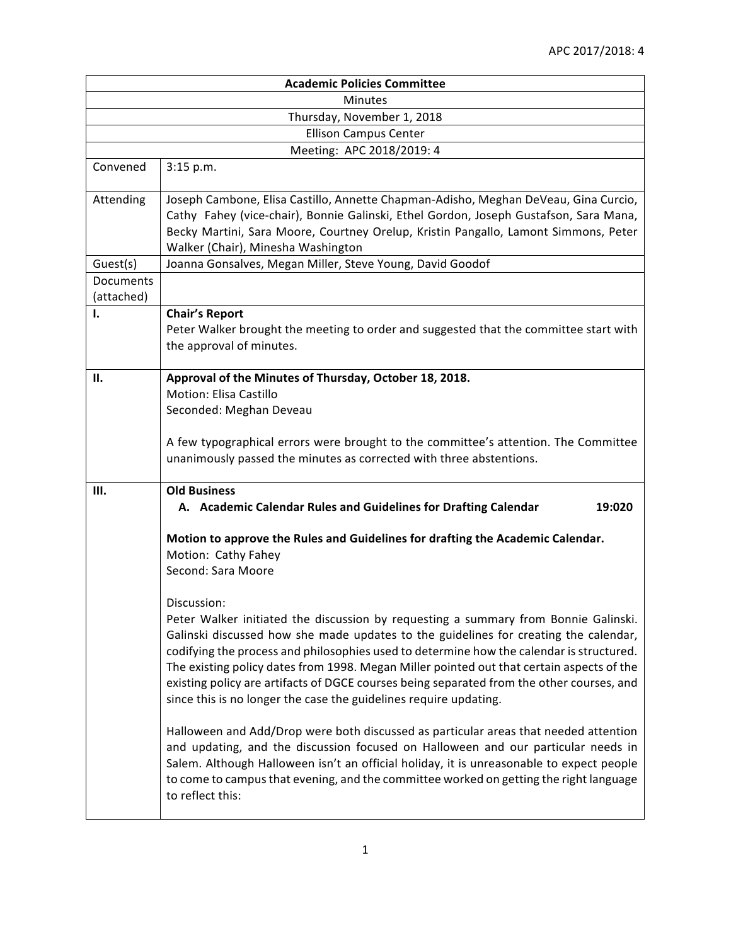| <b>Academic Policies Committee</b> |                                                                                                                                                                                                                                                                                                                                                                                                                                                                                                                                                       |  |  |
|------------------------------------|-------------------------------------------------------------------------------------------------------------------------------------------------------------------------------------------------------------------------------------------------------------------------------------------------------------------------------------------------------------------------------------------------------------------------------------------------------------------------------------------------------------------------------------------------------|--|--|
| Minutes                            |                                                                                                                                                                                                                                                                                                                                                                                                                                                                                                                                                       |  |  |
| Thursday, November 1, 2018         |                                                                                                                                                                                                                                                                                                                                                                                                                                                                                                                                                       |  |  |
| <b>Ellison Campus Center</b>       |                                                                                                                                                                                                                                                                                                                                                                                                                                                                                                                                                       |  |  |
| Meeting: APC 2018/2019: 4          |                                                                                                                                                                                                                                                                                                                                                                                                                                                                                                                                                       |  |  |
| Convened                           | 3:15 p.m.                                                                                                                                                                                                                                                                                                                                                                                                                                                                                                                                             |  |  |
| Attending                          | Joseph Cambone, Elisa Castillo, Annette Chapman-Adisho, Meghan DeVeau, Gina Curcio,<br>Cathy Fahey (vice-chair), Bonnie Galinski, Ethel Gordon, Joseph Gustafson, Sara Mana,<br>Becky Martini, Sara Moore, Courtney Orelup, Kristin Pangallo, Lamont Simmons, Peter<br>Walker (Chair), Minesha Washington                                                                                                                                                                                                                                             |  |  |
| Guest(s)                           | Joanna Gonsalves, Megan Miller, Steve Young, David Goodof                                                                                                                                                                                                                                                                                                                                                                                                                                                                                             |  |  |
| Documents<br>(attached)            |                                                                                                                                                                                                                                                                                                                                                                                                                                                                                                                                                       |  |  |
| ı.                                 | <b>Chair's Report</b><br>Peter Walker brought the meeting to order and suggested that the committee start with<br>the approval of minutes.                                                                                                                                                                                                                                                                                                                                                                                                            |  |  |
| П.                                 | Approval of the Minutes of Thursday, October 18, 2018.<br>Motion: Elisa Castillo<br>Seconded: Meghan Deveau<br>A few typographical errors were brought to the committee's attention. The Committee<br>unanimously passed the minutes as corrected with three abstentions.                                                                                                                                                                                                                                                                             |  |  |
| Ш.                                 | <b>Old Business</b><br>A. Academic Calendar Rules and Guidelines for Drafting Calendar<br>19:020                                                                                                                                                                                                                                                                                                                                                                                                                                                      |  |  |
|                                    | Motion to approve the Rules and Guidelines for drafting the Academic Calendar.<br>Motion: Cathy Fahey<br>Second: Sara Moore                                                                                                                                                                                                                                                                                                                                                                                                                           |  |  |
|                                    | Discussion:<br>Peter Walker initiated the discussion by requesting a summary from Bonnie Galinski.<br>Galinski discussed how she made updates to the guidelines for creating the calendar,<br>codifying the process and philosophies used to determine how the calendar is structured.<br>The existing policy dates from 1998. Megan Miller pointed out that certain aspects of the<br>existing policy are artifacts of DGCE courses being separated from the other courses, and<br>since this is no longer the case the guidelines require updating. |  |  |
|                                    | Halloween and Add/Drop were both discussed as particular areas that needed attention<br>and updating, and the discussion focused on Halloween and our particular needs in<br>Salem. Although Halloween isn't an official holiday, it is unreasonable to expect people<br>to come to campus that evening, and the committee worked on getting the right language<br>to reflect this:                                                                                                                                                                   |  |  |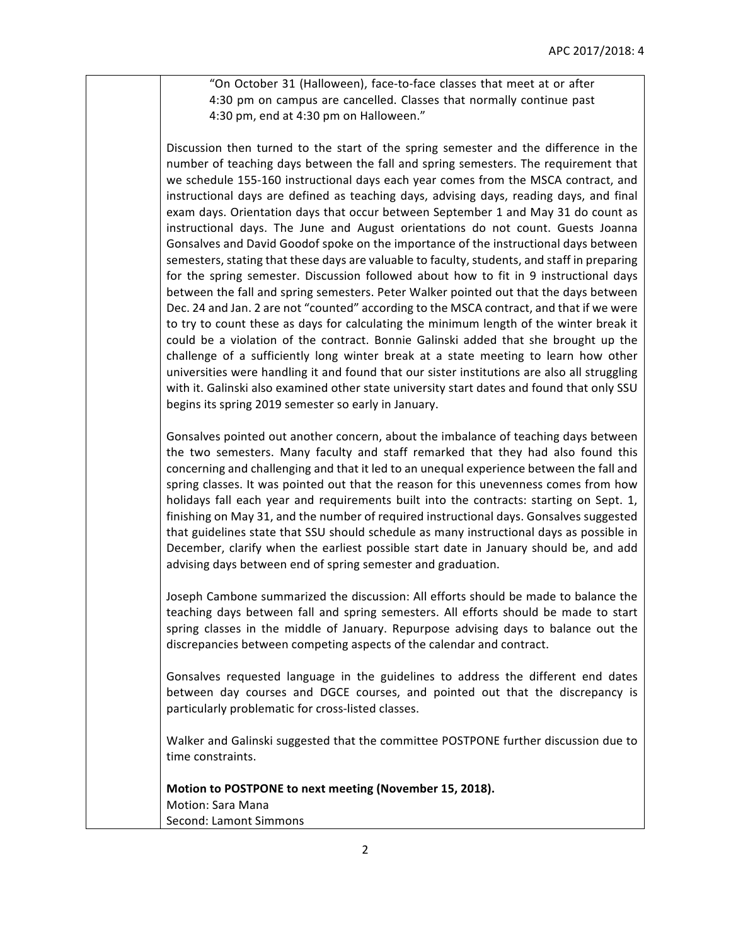"On October 31 (Halloween), face-to-face classes that meet at or after 4:30 pm on campus are cancelled. Classes that normally continue past 4:30 pm, end at 4:30 pm on Halloween."

Discussion then turned to the start of the spring semester and the difference in the number of teaching days between the fall and spring semesters. The requirement that we schedule 155-160 instructional days each year comes from the MSCA contract, and instructional days are defined as teaching days, advising days, reading days, and final exam days. Orientation days that occur between September 1 and May 31 do count as instructional days. The June and August orientations do not count. Guests Joanna Gonsalves and David Goodof spoke on the importance of the instructional days between semesters, stating that these days are valuable to faculty, students, and staff in preparing for the spring semester. Discussion followed about how to fit in 9 instructional days between the fall and spring semesters. Peter Walker pointed out that the days between Dec. 24 and Jan. 2 are not "counted" according to the MSCA contract, and that if we were to try to count these as days for calculating the minimum length of the winter break it could be a violation of the contract. Bonnie Galinski added that she brought up the challenge of a sufficiently long winter break at a state meeting to learn how other universities were handling it and found that our sister institutions are also all struggling with it. Galinski also examined other state university start dates and found that only SSU begins its spring 2019 semester so early in January.

Gonsalves pointed out another concern, about the imbalance of teaching days between the two semesters. Many faculty and staff remarked that they had also found this concerning and challenging and that it led to an unequal experience between the fall and spring classes. It was pointed out that the reason for this unevenness comes from how holidays fall each year and requirements built into the contracts: starting on Sept. 1, finishing on May 31, and the number of required instructional days. Gonsalves suggested that guidelines state that SSU should schedule as many instructional days as possible in December, clarify when the earliest possible start date in January should be, and add advising days between end of spring semester and graduation.

Joseph Cambone summarized the discussion: All efforts should be made to balance the teaching days between fall and spring semesters. All efforts should be made to start spring classes in the middle of January. Repurpose advising days to balance out the discrepancies between competing aspects of the calendar and contract.

Gonsalves requested language in the guidelines to address the different end dates between day courses and DGCE courses, and pointed out that the discrepancy is particularly problematic for cross-listed classes.

Walker and Galinski suggested that the committee POSTPONE further discussion due to time constraints.

**Motion to POSTPONE to next meeting (November 15, 2018).** Motion: Sara Mana Second: Lamont Simmons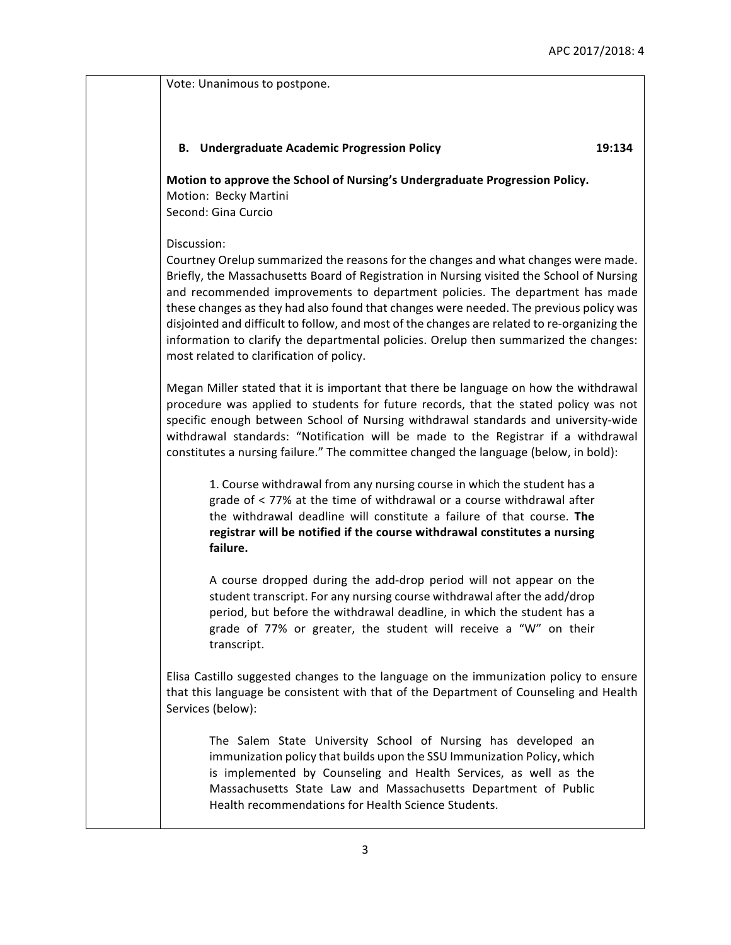Vote: Unanimous to postpone. **B. Undergraduate Academic Progression Policy 19:134 Motion to approve the School of Nursing's Undergraduate Progression Policy.** Motion: Becky Martini Second: Gina Curcio Discussion: Courtney Orelup summarized the reasons for the changes and what changes were made. Briefly, the Massachusetts Board of Registration in Nursing visited the School of Nursing and recommended improvements to department policies. The department has made these changes as they had also found that changes were needed. The previous policy was disjointed and difficult to follow, and most of the changes are related to re-organizing the information to clarify the departmental policies. Orelup then summarized the changes: most related to clarification of policy. Megan Miller stated that it is important that there be language on how the withdrawal procedure was applied to students for future records, that the stated policy was not specific enough between School of Nursing withdrawal standards and university-wide withdrawal standards: "Notification will be made to the Registrar if a withdrawal constitutes a nursing failure." The committee changed the language (below, in bold): 1. Course withdrawal from any nursing course in which the student has a grade of  $\lt$  77% at the time of withdrawal or a course withdrawal after the withdrawal deadline will constitute a failure of that course. The registrar will be notified if the course withdrawal constitutes a nursing **failure.** A course dropped during the add-drop period will not appear on the student transcript. For any nursing course withdrawal after the add/drop period, but before the withdrawal deadline, in which the student has a grade of 77% or greater, the student will receive a "W" on their transcript. Elisa Castillo suggested changes to the language on the immunization policy to ensure that this language be consistent with that of the Department of Counseling and Health Services (below): The Salem State University School of Nursing has developed an immunization policy that builds upon the SSU Immunization Policy, which is implemented by Counseling and Health Services, as well as the Massachusetts State Law and Massachusetts Department of Public

Health recommendations for Health Science Students.